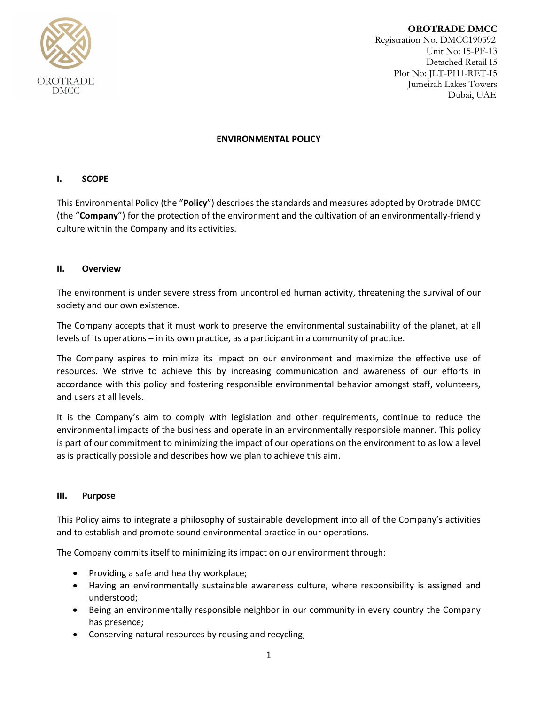

**OROTRADE DMCC** Registration No. DMCC190592 Unit No: I5-PF-13 Detached Retail I5 Plot No: JLT-PH1-RET-I5 Jumeirah Lakes Towers Dubai, UAE

## **ENVIRONMENTAL POLICY**

# **I. SCOPE**

This Environmental Policy (the "**Policy**") describes the standards and measures adopted by Orotrade DMCC (the "**Company**") for the protection of the environment and the cultivation of an environmentally-friendly culture within the Company and its activities.

### **II. Overview**

The environment is under severe stress from uncontrolled human activity, threatening the survival of our society and our own existence.

The Company accepts that it must work to preserve the environmental sustainability of the planet, at all levels of its operations – in its own practice, as a participant in a community of practice.

The Company aspires to minimize its impact on our environment and maximize the effective use of resources. We strive to achieve this by increasing communication and awareness of our efforts in accordance with this policy and fostering responsible environmental behavior amongst staff, volunteers, and users at all levels.

It is the Company's aim to comply with legislation and other requirements, continue to reduce the environmental impacts of the business and operate in an environmentally responsible manner. This policy is part of our commitment to minimizing the impact of our operations on the environment to as low a level as is practically possible and describes how we plan to achieve this aim.

#### **III. Purpose**

This Policy aims to integrate a philosophy of sustainable development into all of the Company's activities and to establish and promote sound environmental practice in our operations.

The Company commits itself to minimizing its impact on our environment through:

- Providing a safe and healthy workplace;
- Having an environmentally sustainable awareness culture, where responsibility is assigned and understood;
- Being an environmentally responsible neighbor in our community in every country the Company has presence;
- Conserving natural resources by reusing and recycling;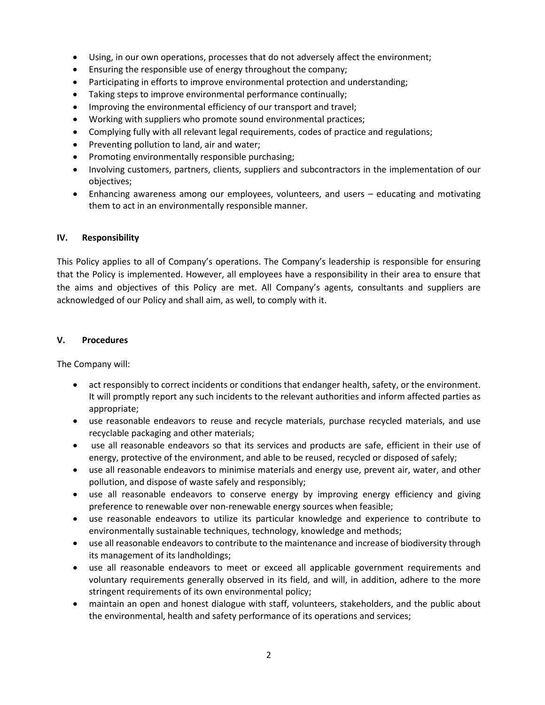- Using, in our own operations, processes that do not adversely affect the environment;
- Ensuring the responsible use of energy throughout the company;
- Participating in efforts to improve environmental protection and understanding;
- Taking steps to improve environmental performance continually;
- Improving the environmental efficiency of our transport and travel;
- Working with suppliers who promote sound environmental practices;
- Complying fully with all relevant legal requirements, codes of practice and regulations;
- Preventing pollution to land, air and water;
- Promoting environmentally responsible purchasing;
- Involving customers, partners, clients, suppliers and subcontractors in the implementation of our objectives;
- Enhancing awareness among our employees, volunteers, and users educating and motivating them to act in an environmentally responsible manner.

### **IV. Responsibility**

This Policy applies to all of Company's operations. The Company's leadership is responsible for ensuring that the Policy is implemented. However, all employees have a responsibility in their area to ensure that the aims and objectives of this Policy are met. All Company's agents, consultants and suppliers are acknowledged of our Policy and shall aim, as well, to comply with it.

### **V. Procedures**

The Company will:

- act responsibly to correct incidents or conditions that endanger health, safety, or the environment. It will promptly report any such incidents to the relevant authorities and inform affected parties as appropriate;
- use reasonable endeavors to reuse and recycle materials, purchase recycled materials, and use recyclable packaging and other materials;
- use all reasonable endeavors so that its services and products are safe, efficient in their use of energy, protective of the environment, and able to be reused, recycled or disposed of safely;
- use all reasonable endeavors to minimise materials and energy use, prevent air, water, and other pollution, and dispose of waste safely and responsibly;
- use all reasonable endeavors to conserve energy by improving energy efficiency and giving preference to renewable over non-renewable energy sources when feasible;
- use reasonable endeavors to utilize its particular knowledge and experience to contribute to environmentally sustainable techniques, technology, knowledge and methods;
- use all reasonable endeavors to contribute to the maintenance and increase of biodiversity through its management of its landholdings;
- use all reasonable endeavors to meet or exceed all applicable government requirements and voluntary requirements generally observed in its field, and will, in addition, adhere to the more stringent requirements of its own environmental policy;
- maintain an open and honest dialogue with staff, volunteers, stakeholders, and the public about the environmental, health and safety performance of its operations and services;